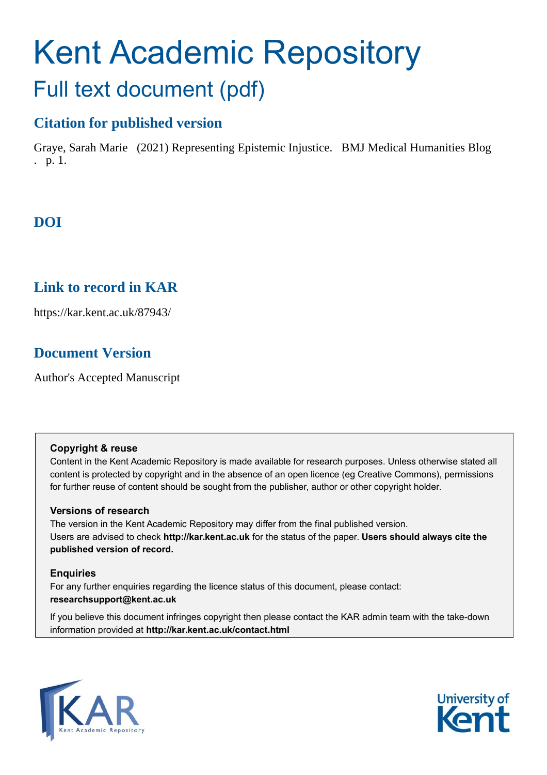# Kent Academic Repository Full text document (pdf)

## **Citation for published version**

Graye, Sarah Marie (2021) Representing Epistemic Injustice. BMJ Medical Humanities Blog . p. 1.

# **DOI**

## **Link to record in KAR**

https://kar.kent.ac.uk/87943/

## **Document Version**

Author's Accepted Manuscript

#### **Copyright & reuse**

Content in the Kent Academic Repository is made available for research purposes. Unless otherwise stated all content is protected by copyright and in the absence of an open licence (eg Creative Commons), permissions for further reuse of content should be sought from the publisher, author or other copyright holder.

#### **Versions of research**

The version in the Kent Academic Repository may differ from the final published version. Users are advised to check **http://kar.kent.ac.uk** for the status of the paper. **Users should always cite the published version of record.**

#### **Enquiries**

For any further enquiries regarding the licence status of this document, please contact: **researchsupport@kent.ac.uk**

If you believe this document infringes copyright then please contact the KAR admin team with the take-down information provided at **http://kar.kent.ac.uk/contact.html**



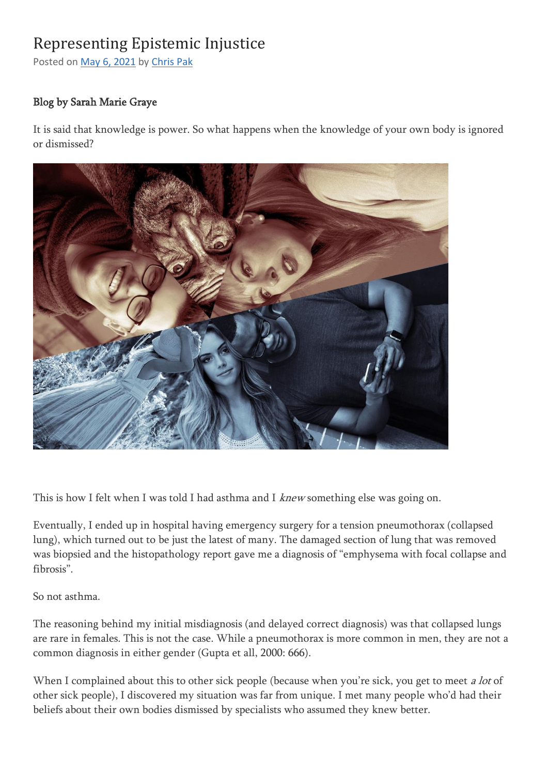# Representing Epistemic Injustice

Posted on May 6, [2021](https://blogs.bmj.com/medical-humanities/2021/05/06/representing-epistemic-injustice/) by [Chris](https://blogs.bmj.com/medical-humanities/author/chrispak/) Pak

## Blog by Sarah Marie Graye

It is said that knowledge is power. So what happens when the knowledge of your own body is ignored or dismissed?



This is how I felt when I was told I had asthma and I *knew* something else was going on.

Eventually, I ended up in hospital having emergency surgery for a tension pneumothorax (collapsed lung), which turned out to be just the latest of many. The damaged section of lung that was removed was biopsied and the histopathology report gave me a diagnosis of "emphysema with focal collapse and fibrosis".

So not asthma.

The reasoning behind my initial misdiagnosis (and delayed correct diagnosis) was that collapsed lungs are rare in females. This is not the case. While a pneumothorax is more common in men, they are not a common diagnosis in either gender (Gupta et all, 2000: 666).

When I complained about this to other sick people (because when you're sick, you get to meet a lot of other sick people), I discovered my situation was far from unique. I met many people who'd had their beliefs about their own bodies dismissed by specialists who assumed they knew better.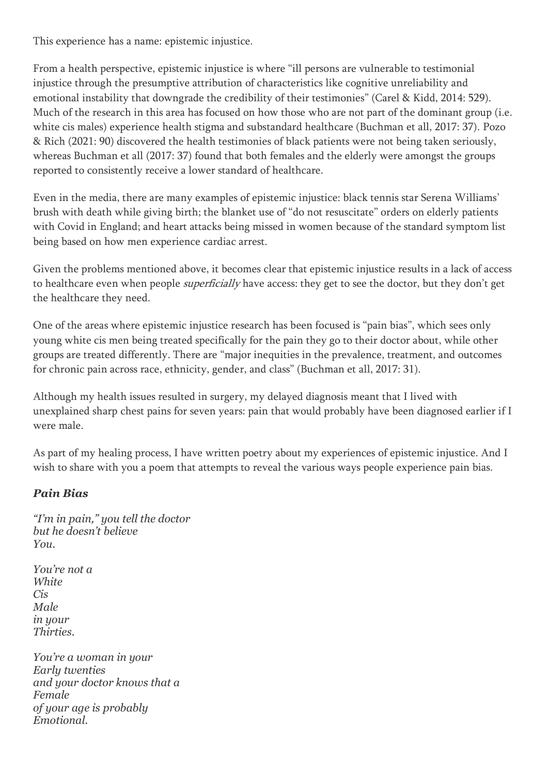This experience has a name: epistemic injustice.

From a health perspective, epistemic injustice is where "ill persons are vulnerable to testimonial injustice through the presumptive attribution of characteristics like cognitive unreliability and emotional instability that downgrade the credibility of their testimonies" (Carel & Kidd, 2014: 529). Much of the research in this area has focused on how those who are not part of the dominant group (i.e. white cis males) experience health stigma and substandard healthcare (Buchman et all, 2017: 37). Pozo & Rich (2021: 90) discovered the health testimonies of black patients were not being taken seriously, whereas Buchman et all (2017: 37) found that both females and the elderly were amongst the groups reported to consistently receive a lower standard of healthcare.

Even in the media, there are many examples of epistemic injustice: black tennis star Serena Williams' brush with death while giving birth; the blanket use of "do not resuscitate" orders on elderly patients with Covid in England; and heart attacks being missed in women because of the standard symptom list being based on how men experience cardiac arrest.

Given the problems mentioned above, it becomes clear that epistemic injustice results in a lack of access to healthcare even when people *superficially* have access: they get to see the doctor, but they don't get the healthcare they need.

One of the areas where epistemic injustice research has been focused is "pain bias", which sees only young white cis men being treated specifically for the pain they go to their doctor about, while other groups are treated differently. There are "major inequities in the prevalence, treatment, and outcomes for chronic pain across race, ethnicity, gender, and class" (Buchman et all, 2017: 31).

Although my health issues resulted in surgery, my delayed diagnosis meant that I lived with unexplained sharp chest pains for seven years: pain that would probably have been diagnosed earlier if I were male.

As part of my healing process, I have written poetry about my experiences of epistemic injustice. And I wish to share with you a poem that attempts to reveal the various ways people experience pain bias.

### *Pain Bias*

*"I'm in pain," you tell the doctor but he doesn't believe You.*

*You're not a White Cis Male in your Thirties.*

*You're a woman in your Early twenties and your doctor knows that a Female of your age is probably Emotional.*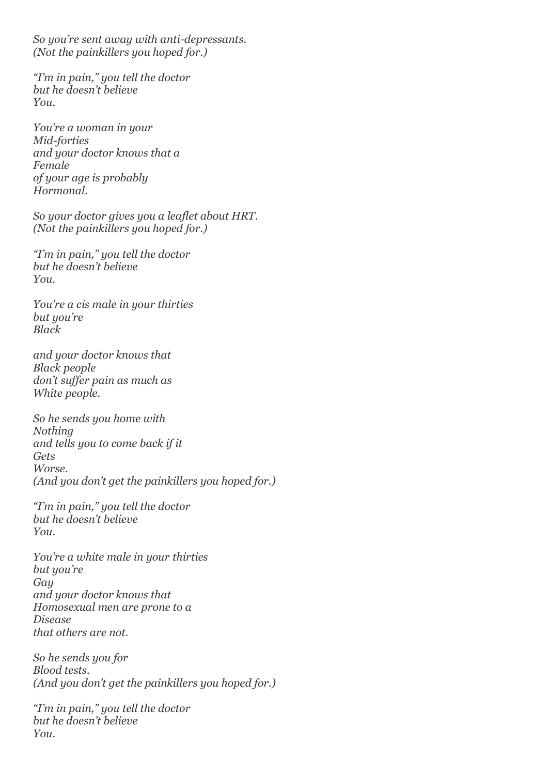*So you're sent away with anti-depressants. (Not the painkillers you hoped for.)*

*"I'm in pain," you tell the doctor but he doesn't believe You.*

*You're a woman in your Mid-forties and your doctor knows that a Female of your age is probably Hormonal.*

*So your doctor gives you a leaflet about HRT. (Not the painkillers you hoped for.)*

*"I'm in pain," you tell the doctor but he doesn't believe You.*

*You're a cis male in your thirties but you're Black*

*and your doctor knows that Black people don't suffer pain as much as White people.*

*So he sends you home with Nothing and tells you to come back if it Gets Worse. (And you don't get the painkillers you hoped for.)*

*"I'm in pain," you tell the doctor but he doesn't believe You.*

*You're a white male in your thirties but you're Gay and your doctor knows that Homosexual men are prone to a Disease that others are not.*

*So he sends you for Blood tests. (And you don't get the painkillers you hoped for.)*

*"I'm in pain," you tell the doctor but he doesn't believe You.*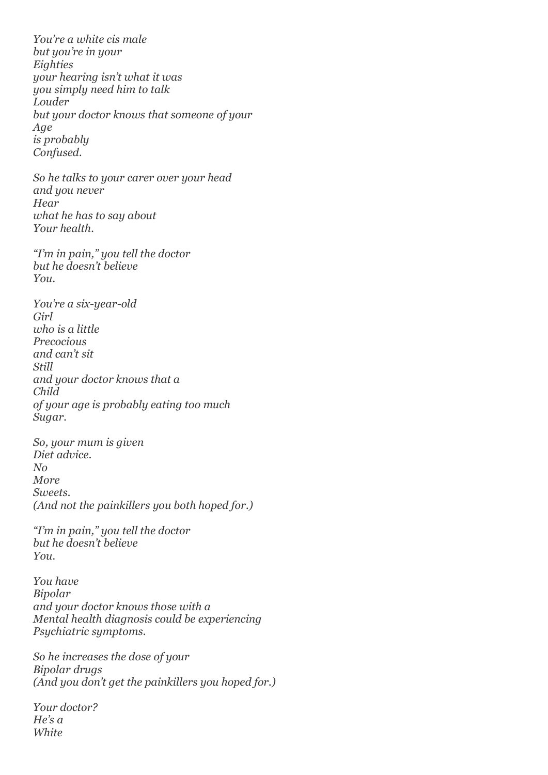*You're a white cis male but you're in your Eighties your hearing isn't what it was you simply need him to talk Louder but your doctor knows that someone of your Age is probably Confused.*

*So he talks to your carer over your head and you never Hear what he has to say about Your health.*

*"I'm in pain," you tell the doctor but he doesn't believe You.*

*You're a six-year-old Girl who is a little Precocious and can't sit Still and your doctor knows that a Child of your age is probably eating too much Sugar.*

*So, your mum is given Diet advice. No More Sweets. (And not the painkillers you both hoped for.)*

*"I'm in pain," you tell the doctor but he doesn't believe You.*

*You have Bipolar and your doctor knows those with a Mental health diagnosis could be experiencing Psychiatric symptoms.*

*So he increases the dose of your Bipolar drugs (And you don't get the painkillers you hoped for.)*

*Your doctor? He's a White*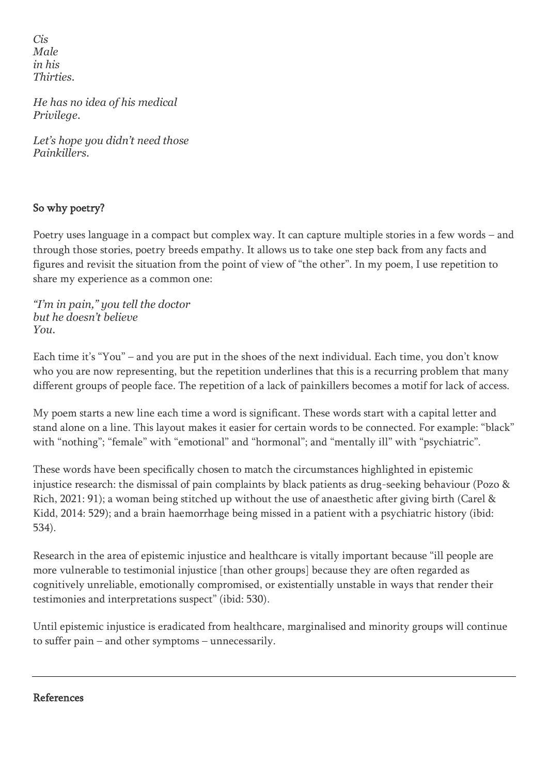*Cis Male in his Thirties.*

*He has no idea of his medical Privilege.*

*Let's hope you didn't need those Painkillers.*

## So why poetry?

Poetry uses language in a compact but complex way. It can capture multiple stories in a few words – and through those stories, poetry breeds empathy. It allows us to take one step back from any facts and figures and revisit the situation from the point of view of "the other". In my poem, I use repetition to share my experience as a common one:

*"I'm in pain," you tell the doctor but he doesn't believe You.*

Each time it's "You" – and you are put in the shoes of the next individual. Each time, you don't know who you are now representing, but the repetition underlines that this is a recurring problem that many different groups of people face. The repetition of a lack of painkillers becomes a motif for lack of access.

My poem starts a new line each time a word is significant. These words start with a capital letter and stand alone on a line. This layout makes it easier for certain words to be connected. For example: "black" with "nothing"; "female" with "emotional" and "hormonal"; and "mentally ill" with "psychiatric".

These words have been specifically chosen to match the circumstances highlighted in epistemic injustice research: the dismissal of pain complaints by black patients as drug-seeking behaviour (Pozo & Rich, 2021: 91); a woman being stitched up without the use of anaesthetic after giving birth (Carel & Kidd, 2014: 529); and a brain haemorrhage being missed in a patient with a psychiatric history (ibid: 534).

Research in the area of epistemic injustice and healthcare is vitally important because "ill people are more vulnerable to testimonial injustice [than other groups] because they are often regarded as cognitively unreliable, emotionally compromised, or existentially unstable in ways that render their testimonies and interpretations suspect" (ibid: 530).

Until epistemic injustice is eradicated from healthcare, marginalised and minority groups will continue to suffer pain – and other symptoms – unnecessarily.

#### References